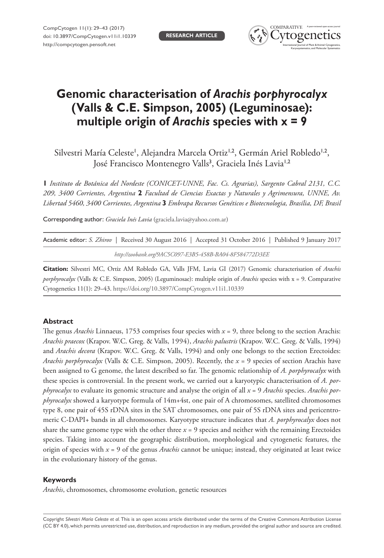**RESEARCH ARTICLE**



# **Genomic characterisation of** *Arachis porphyrocalyx* **(Valls & C.E. Simpson, 2005) (Leguminosae): multiple origin of** *Arachis* **species with x = 9**

Silvestri María Celeste<sup>1</sup>, Alejandra Marcela Ortiz<sup>1,2</sup>, Germán Ariel Robledo<sup>1,2</sup>, José Francisco Montenegro Valls<sup>3</sup>, Graciela Inés Lavia<sup>1,2</sup>

**1** *Instituto de Botánica del Nordeste (CONICET-UNNE, Fac. Cs. Agrarias), Sargento Cabral 2131, C.C. 209, 3400 Corrientes, Argentina* **2** *Facultad de Ciencias Exactas y Naturales y Agrimensura, UNNE, Av. Libertad 5460, 3400 Corrientes, Argentina* **3** *Embrapa Recursos Genéticos e Biotecnologia, Brasília, DF, Brasil*

Corresponding author: *Graciela Inés Lavia* ([graciela.lavia@yahoo.com.ar\)](mailto:graciela.lavia@yahoo.com.ar)

| Academic editor: S. Zhirov   Received 30 August 2016   Accepted 31 October 2016   Published 9 January 2017 |  |
|------------------------------------------------------------------------------------------------------------|--|
| http://zoobank.org/9AC5C097-E3B5-458B-BA04-8F584772D3EE                                                    |  |

**Citation:** Silvestri MC, Ortiz AM Robledo GA, Valls JFM, Lavia GI (2017) Genomic characterisation of *Arachis porphyrocalyx* (Valls & C.E. Simpson, 2005) (Leguminosae): multiple origin of *Arachis* species with x = 9. Comparative Cytogenetics 11(1): 29–43. <https://doi.org/10.3897/CompCytogen.v11i1.10339>

#### **Abstract**

The genus *Arachis* Linnaeus, 1753 comprises four species with *x* = 9, three belong to the section Arachis: *Arachis praecox* (Krapov. W.C. Greg. & Valls, 1994), *Arachis palustris* (Krapov. W.C. Greg. & Valls, 1994) and *Arachis decora* (Krapov. W.C. Greg. & Valls, 1994) and only one belongs to the section Erectoides: *Arachis porphyrocalyx* (Valls & C.E. Simpson, 2005). Recently, the *x* = 9 species of section Arachis have been assigned to G genome, the latest described so far. The genomic relationship of *A. porphyrocalyx* with these species is controversial. In the present work, we carried out a karyotypic characterisation of *A. porphyrocalyx* to evaluate its genomic structure and analyse the origin of all *x* = 9 *Arachis* species. *Arachis porphyrocalyx* showed a karyotype formula of 14m+4st, one pair of A chromosomes, satellited chromosomes type 8, one pair of 45S rDNA sites in the SAT chromosomes, one pair of 5S rDNA sites and pericentromeric C-DAPI+ bands in all chromosomes. Karyotype structure indicates that *A. porphyrocalyx* does not share the same genome type with the other three  $x = 9$  species and neither with the remaining Erectoides species. Taking into account the geographic distribution, morphological and cytogenetic features, the origin of species with *x* = 9 of the genus *Arachis* cannot be unique; instead, they originated at least twice in the evolutionary history of the genus.

#### **Keywords**

*Arachis*, chromosomes, chromosome evolution, genetic resources

Copyright *Silvestri María Celeste et al.* This is an open access article distributed under the terms of the [Creative Commons Attribution License](http://creativecommons.org/licenses/by/4.0/)  [\(CC BY 4.0\)](http://creativecommons.org/licenses/by/4.0/), which permits unrestricted use, distribution, and reproduction in any medium, provided the original author and source are credited.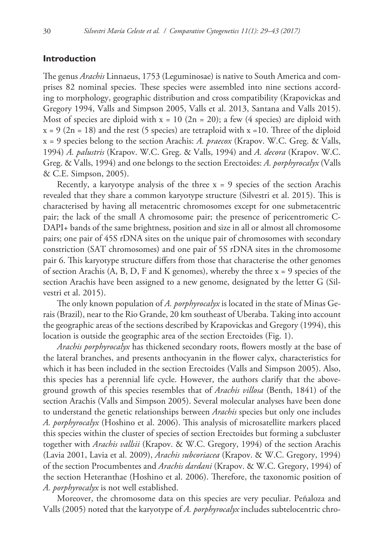## **Introduction**

The genus *Arachis* Linnaeus, 1753 (Leguminosae) is native to South America and comprises 82 nominal species. These species were assembled into nine sections according to morphology, geographic distribution and cross compatibility (Krapovickas and Gregory 1994, Valls and Simpson 2005, Valls et al. 2013, Santana and Valls 2015). Most of species are diploid with  $x = 10$  (2n = 20); a few (4 species) are diploid with  $x = 9$  (2n = 18) and the rest (5 species) are tetraploid with  $x = 10$ . Three of the diploid x = 9 species belong to the section Arachis: *A. praecox* (Krapov. W.C. Greg. & Valls, 1994) *A. palustris* (Krapov. W.C. Greg. & Valls, 1994) and *A. decora* (Krapov. W.C. Greg. & Valls, 1994) and one belongs to the section Erectoides: *A. porphyrocalyx* (Valls & C.E. Simpson, 2005).

Recently, a karyotype analysis of the three  $x = 9$  species of the section Arachis revealed that they share a common karyotype structure (Silvestri et al. 2015). This is characterised by having all metacentric chromosomes except for one submetacentric pair; the lack of the small A chromosome pair; the presence of pericentromeric C-DAPI+ bands of the same brightness, position and size in all or almost all chromosome pairs; one pair of 45S rDNA sites on the unique pair of chromosomes with secondary constriction (SAT chromosomes) and one pair of 5S rDNA sites in the chromosome pair 6. This karyotype structure differs from those that characterise the other genomes of section Arachis  $(A, B, D, F, A)$  and K genomes), whereby the three  $x = 9$  species of the section Arachis have been assigned to a new genome, designated by the letter G (Silvestri et al. 2015).

The only known population of *A. porphyrocalyx* is located in the state of Minas Gerais (Brazil), near to the Rio Grande, 20 km southeast of Uberaba. Taking into account the geographic areas of the sections described by Krapovickas and Gregory (1994), this location is outside the geographic area of the section Erectoides (Fig. 1).

*Arachis porphyrocalyx* has thickened secondary roots, flowers mostly at the base of the lateral branches, and presents anthocyanin in the flower calyx, characteristics for which it has been included in the section Erectoides (Valls and Simpson 2005). Also, this species has a perennial life cycle. However, the authors clarify that the aboveground growth of this species resembles that of *Arachis villosa* (Benth, 1841) of the section Arachis (Valls and Simpson 2005). Several molecular analyses have been done to understand the genetic relationships between *Arachis* species but only one includes *A. porphyrocalyx* (Hoshino et al. 2006). This analysis of microsatellite markers placed this species within the cluster of species of section Erectoides but forming a subcluster together with *Arachis vallsii* (Krapov. & W.C. Gregory, 1994) of the section Arachis (Lavia 2001, Lavia et al. 2009), *Arachis subcoriacea* (Krapov. & W.C. Gregory, 1994) of the section Procumbentes and *Arachis dardani* (Krapov. & W.C. Gregory, 1994) of the section Heteranthae (Hoshino et al. 2006). Therefore, the taxonomic position of *A. porphyrocalyx* is not well established.

Moreover, the chromosome data on this species are very peculiar. Peñaloza and Valls (2005) noted that the karyotype of *A. porphyrocalyx* includes subtelocentric chro-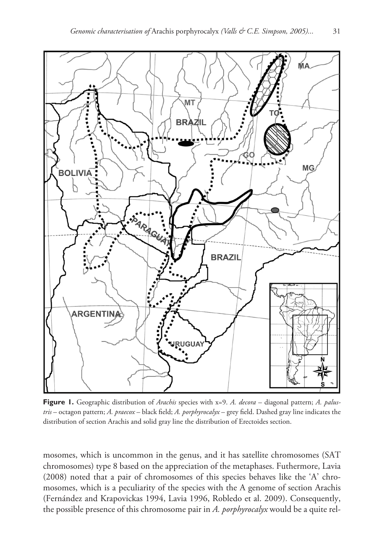

**Figure 1.** Geographic distribution of *Arachis* species with x=9. *A. decora* – diagonal pattern; *A. palustris* – octagon pattern; *A. praecox* – black field; *A. porphyrocalyx* – grey field. Dashed gray line indicates the distribution of section Arachis and solid gray line the distribution of Erectoides section.

mosomes, which is uncommon in the genus, and it has satellite chromosomes (SAT chromosomes) type 8 based on the appreciation of the metaphases. Futhermore, Lavia (2008) noted that a pair of chromosomes of this species behaves like the 'A' chromosomes, which is a peculiarity of the species with the A genome of section Arachis (Fernández and Krapovickas 1994, Lavia 1996, Robledo et al. 2009). Consequently, the possible presence of this chromosome pair in *A. porphyrocalyx* would be a quite rel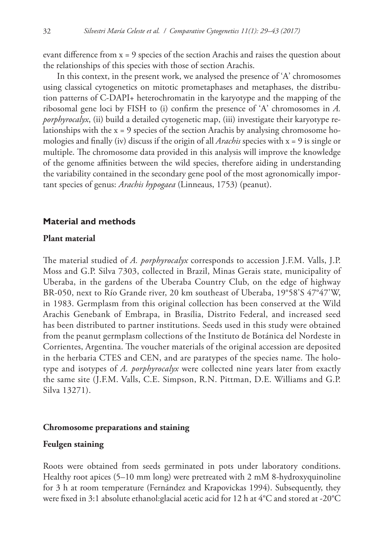evant difference from x = 9 species of the section Arachis and raises the question about the relationships of this species with those of section Arachis.

In this context, in the present work, we analysed the presence of 'A' chromosomes using classical cytogenetics on mitotic prometaphases and metaphases, the distribution patterns of C-DAPI+ heterochromatin in the karyotype and the mapping of the ribosomal gene loci by FISH to (i) confirm the presence of 'A' chromosomes in *A. porphyrocalyx*, (ii) build a detailed cytogenetic map, (iii) investigate their karyotype relationships with the x = 9 species of the section Arachis by analysing chromosome homologies and finally (iv) discuss if the origin of all *Arachis* species with x = 9 is single or multiple. The chromosome data provided in this analysis will improve the knowledge of the genome affinities between the wild species, therefore aiding in understanding the variability contained in the secondary gene pool of the most agronomically important species of genus: *Arachis hypogaea* (Linneaus, 1753) (peanut).

## **Material and methods**

#### **Plant material**

The material studied of *A. porphyrocalyx* corresponds to accession J.F.M. Valls, J.P. Moss and G.P. Silva 7303, collected in Brazil, Minas Gerais state, municipality of Uberaba, in the gardens of the Uberaba Country Club, on the edge of highway BR-050, next to Río Grande river, 20 km southeast of Uberaba, 19°58'S 47°47'W, in 1983. Germplasm from this original collection has been conserved at the Wild Arachis Genebank of Embrapa, in Brasília, Distrito Federal, and increased seed has been distributed to partner institutions. Seeds used in this study were obtained from the peanut germplasm collections of the Instituto de Botánica del Nordeste in Corrientes, Argentina. The voucher materials of the original accession are deposited in the herbaria CTES and CEN, and are paratypes of the species name. The holotype and isotypes of *A. porphyrocalyx* were collected nine years later from exactly the same site (J.F.M. Valls, C.E. Simpson, R.N. Pittman, D.E. Williams and G.P. Silva 13271).

#### **Chromosome preparations and staining**

#### **Feulgen staining**

Roots were obtained from seeds germinated in pots under laboratory conditions. Healthy root apices (5–10 mm long) were pretreated with 2 mM 8-hydroxyquinoline for 3 h at room temperature (Fernández and Krapovickas 1994). Subsequently, they were fixed in 3:1 absolute ethanol:glacial acetic acid for 12 h at 4°C and stored at -20°C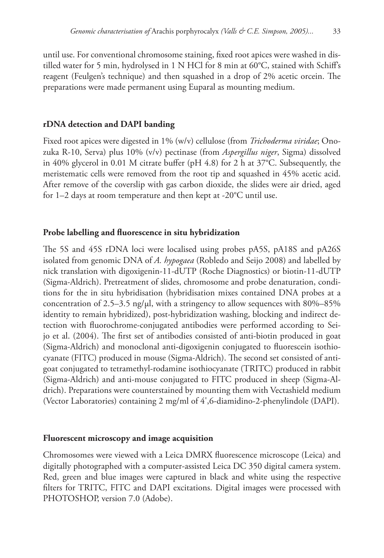until use. For conventional chromosome staining, fixed root apices were washed in distilled water for 5 min, hydrolysed in 1 N HCl for 8 min at 60°C, stained with Schiff's reagent (Feulgen's technique) and then squashed in a drop of 2% acetic orcein. The preparations were made permanent using Euparal as mounting medium.

# **rDNA detection and DAPI banding**

Fixed root apices were digested in 1% (w/v) cellulose (from *Trichoderma viridae*; Onozuka R-10, Serva) plus 10% (v/v) pectinase (from *Aspergillus niger*, Sigma) dissolved in 40% glycerol in 0.01 M citrate buffer (pH 4.8) for 2 h at 37°C. Subsequently, the meristematic cells were removed from the root tip and squashed in 45% acetic acid. After remove of the coverslip with gas carbon dioxide, the slides were air dried, aged for 1–2 days at room temperature and then kept at -20°C until use.

# **Probe labelling and fluorescence in situ hybridization**

The 5S and 45S rDNA loci were localised using probes pA5S, pA18S and pA26S isolated from genomic DNA of *A. hypogaea* (Robledo and Seijo 2008) and labelled by nick translation with digoxigenin-11-dUTP (Roche Diagnostics) or biotin-11-dUTP (Sigma-Aldrich). Pretreatment of slides, chromosome and probe denaturation, conditions for the in situ hybridisation (hybridisation mixes contained DNA probes at a concentration of 2.5–3.5 ng/ $\mu$ , with a stringency to allow sequences with 80%–85% identity to remain hybridized), post-hybridization washing, blocking and indirect detection with fluorochrome-conjugated antibodies were performed according to Seijo et al. (2004). The first set of antibodies consisted of anti-biotin produced in goat (Sigma-Aldrich) and monoclonal anti-digoxigenin conjugated to fluorescein isothiocyanate (FITC) produced in mouse (Sigma-Aldrich). The second set consisted of antigoat conjugated to tetramethyl-rodamine isothiocyanate (TRITC) produced in rabbit (Sigma-Aldrich) and anti-mouse conjugated to FITC produced in sheep (Sigma-Aldrich). Preparations were counterstained by mounting them with Vectashield medium (Vector Laboratories) containing 2 mg/ml of 4',6-diamidino-2-phenylindole (DAPI).

## **Fluorescent microscopy and image acquisition**

Chromosomes were viewed with a Leica DMRX fluorescence microscope (Leica) and digitally photographed with a computer-assisted Leica DC 350 digital camera system. Red, green and blue images were captured in black and white using the respective filters for TRITC, FITC and DAPI excitations. Digital images were processed with PHOTOSHOP, version 7.0 (Adobe).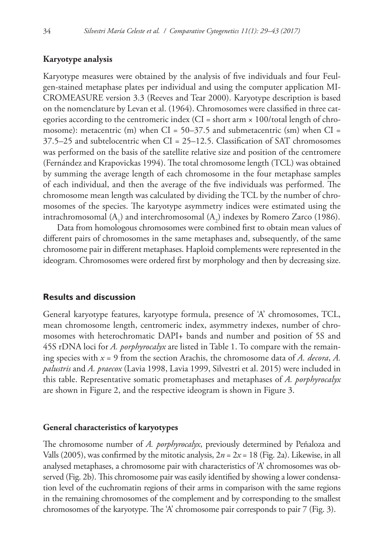## **Karyotype analysis**

Karyotype measures were obtained by the analysis of five individuals and four Feulgen-stained metaphase plates per individual and using the computer application MI-CROMEASURE version 3.3 (Reeves and Tear 2000). Karyotype description is based on the nomenclature by Levan et al. (1964). Chromosomes were classified in three categories according to the centromeric index (CI = short arm  $\times$  100/total length of chromosome): metacentric (m) when CI =  $50-37.5$  and submetacentric (sm) when CI = 37.5–25 and subtelocentric when CI = 25–12.5. Classification of SAT chromosomes was performed on the basis of the satellite relative size and position of the centromere (Fernández and Krapovickas 1994). The total chromosome length (TCL) was obtained by summing the average length of each chromosome in the four metaphase samples of each individual, and then the average of the five individuals was performed. The chromosome mean length was calculated by dividing the TCL by the number of chromosomes of the species. The karyotype asymmetry indices were estimated using the intrachromosomal  $(A_1)$  and interchromosomal  $(A_2)$  indexes by Romero Zarco (1986).

Data from homologous chromosomes were combined first to obtain mean values of different pairs of chromosomes in the same metaphases and, subsequently, of the same chromosome pair in different metaphases. Haploid complements were represented in the ideogram. Chromosomes were ordered first by morphology and then by decreasing size.

## **Results and discussion**

General karyotype features, karyotype formula, presence of 'A' chromosomes, TCL, mean chromosome length, centromeric index, asymmetry indexes, number of chromosomes with heterochromatic DAPI+ bands and number and position of 5S and 45S rDNA loci for *A. porphyrocalyx* are listed in Table 1. To compare with the remaining species with *x* = 9 from the section Arachis, the chromosome data of *A. decora*, *A. palustris* and *A. praecox* (Lavia 1998, Lavia 1999, Silvestri et al. 2015) were included in this table. Representative somatic prometaphases and metaphases of *A. porphyrocalyx* are shown in Figure 2, and the respective ideogram is shown in Figure 3.

## **General characteristics of karyotypes**

The chromosome number of *A. porphyrocalyx*, previously determined by Peñaloza and Valls (2005), was confirmed by the mitotic analysis,  $2n = 2x = 18$  (Fig. 2a). Likewise, in all analysed metaphases, a chromosome pair with characteristics of 'A' chromosomes was observed (Fig. 2b). This chromosome pair was easily identified by showing a lower condensation level of the euchromatin regions of their arms in comparison with the same regions in the remaining chromosomes of the complement and by corresponding to the smallest chromosomes of the karyotype. The 'A' chromosome pair corresponds to pair 7 (Fig. 3).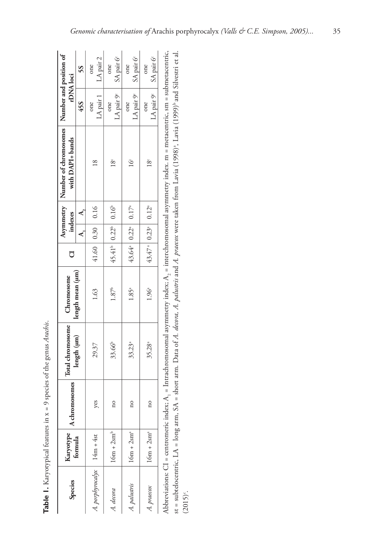Table 1. Karyotypical features in x = 9 species of the genus Arachis. **Table 1.** Karyotypical features in x = 9 species of the genus *Arachis*.

|                            |                             |               | Total chromosome   |                   |                                                        |                     |              | Asymmetry   Number of chromosomes   Number and position of |                                                                                                                                                                                                                                |                       |
|----------------------------|-----------------------------|---------------|--------------------|-------------------|--------------------------------------------------------|---------------------|--------------|------------------------------------------------------------|--------------------------------------------------------------------------------------------------------------------------------------------------------------------------------------------------------------------------------|-----------------------|
| Species                    | Karyotype   A ch<br>formula | hromosomes    |                    | Chromosome        | ð                                                      |                     | indexes      | with DAPI+ bands                                           | rDNA loci                                                                                                                                                                                                                      |                       |
|                            |                             |               | length (um)        | length mean (um)  |                                                        |                     | $\mathbf{r}$ |                                                            | 45S                                                                                                                                                                                                                            | SS                    |
| A. porphyrocalyx 14m + 4st |                             | yes           | 29.37              | 1.63              |                                                        | 41.60   0.30   0.16 |              | $\approx$                                                  | LA pair 1<br>one                                                                                                                                                                                                               | LA pair 2<br>one      |
| A. decora                  | $16m + 2sm^b$               | 0U            | 33.66 <sup>b</sup> | $1.87^{\circ}$    | 45.41 <sup>b</sup> 0.22 <sup>b</sup> 0.16 <sup>b</sup> |                     |              | 18 <sup>c</sup>                                            | LA pair $9^c$<br>one                                                                                                                                                                                                           | $SA$ pair $6c$<br>one |
| A. palustris               | $16m + 2sm^4$               | $\mathbf{a}$  | $33.23^{a}$        | 1.85 <sup>a</sup> | $43.64^{\circ}$ 0.22 $^{\circ}$ 0.17 $^{\circ}$        |                     |              | $\frac{1}{6}$                                              | LA pair $9^c$<br>one                                                                                                                                                                                                           | $SA$ pair $6c$<br>one |
| A. praecox                 | $16m + 2sma$                | $\frac{1}{2}$ | 35.28ª             | 1.96 <sup>a</sup> | 43.47 <sup>a</sup> 0.23 <sup>a</sup> 0.12 <sup>a</sup> |                     |              | 18c                                                        | LA pair $9^e$   SA pair $6^e$<br>one                                                                                                                                                                                           | one                   |
|                            |                             |               |                    |                   |                                                        |                     |              |                                                            | and the company of the company of the company of the company of the company of the company of the company of the company of the company of the company of the company of the company of the company of the company of the comp |                       |

Abbreviations: CI = centromeric index; A<sub>1</sub> = Intrachromosomal asymmetry index; A<sub>2</sub> = interchromosomal asymmetry index. m = metacentric, sm = submetacentric, Abbreviations:  $Cl$  = centromeric index;  $A_l$  = Intrachromosomal asymmetry index;  $A_2$  = interchromosomal asymmetry index. m = metacentric, sm = submetacentric, st = subtelocentric, LA = long arm, SA = short arm. Data of A. decora, A. palustris and A. praecox were taken from Lavia (1998)<sup>a</sup>, Lavia (1999)<sup>b</sup> and Silvestri et al. st = subtelocentric, LA = long arm, SA = short arm. Data of *A. decora, A. palustris* and *A. praecox* were taken from Lavia (1998)a, Lavia (1999)b and Silvestri et al.  $(2015)^{\circ}$ .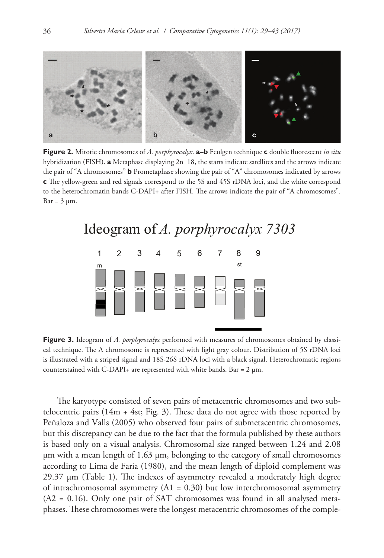

**Figure 2.** Mitotic chromosomes of *A. porphyrocalyx*. **a–b** Feulgen technique **c** double fluorescent *in situ* hybridization (FISH). **a** Metaphase displaying 2n=18, the starts indicate satellites and the arrows indicate the pair of "A chromosomes" **b** Prometaphase showing the pair of "A" chromosomes indicated by arrows **c** The yellow-green and red signals correspond to the 5S and 45S rDNA loci, and the white correspond to the heterochromatin bands C-DAPI+ after FISH. The arrows indicate the pair of "A chromosomes".  $Bar = 3 \mu m$ .



**Figure 3.** Ideogram of *A. porphyrocalyx* performed with measures of chromosomes obtained by classical technique. The A chromosome is represented with light gray colour. Distribution of 5S rDNA loci is illustrated with a striped signal and 18S-26S rDNA loci with a black signal. Heterochromatic regions counterstained with C-DAPI+ are represented with white bands. Bar =  $2 \mu m$ .

The karyotype consisted of seven pairs of metacentric chromosomes and two subtelocentric pairs  $(14m + 4st; Fig. 3)$ . These data do not agree with those reported by Peñaloza and Valls (2005) who observed four pairs of submetacentric chromosomes, but this discrepancy can be due to the fact that the formula published by these authors is based only on a visual analysis. Chromosomal size ranged between 1.24 and 2.08  $\mu$ m with a mean length of 1.63  $\mu$ m, belonging to the category of small chromosomes according to Lima de Faría (1980), and the mean length of diploid complement was 29.37 µm (Table 1). The indexes of asymmetry revealed a moderately high degree of intrachromosomal asymmetry (A1 = 0.30) but low interchromosomal asymmetry (A2 = 0.16). Only one pair of SAT chromosomes was found in all analysed metaphases. These chromosomes were the longest metacentric chromosomes of the comple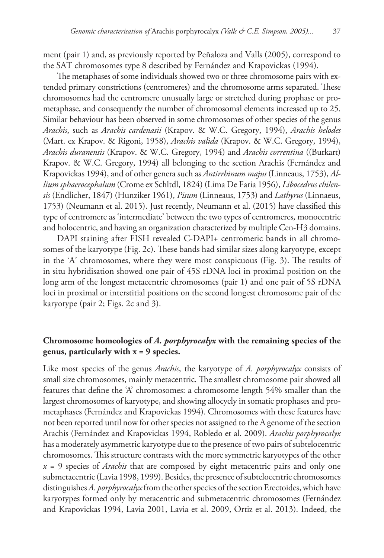ment (pair 1) and, as previously reported by Peñaloza and Valls (2005), correspond to the SAT chromosomes type 8 described by Fernández and Krapovickas (1994).

The metaphases of some individuals showed two or three chromosome pairs with extended primary constrictions (centromeres) and the chromosome arms separated. These chromosomes had the centromere unusually large or stretched during prophase or prometaphase, and consequently the number of chromosomal elements increased up to 25. Similar behaviour has been observed in some chromosomes of other species of the genus *Arachis*, such as *Arachis cardenasii* (Krapov. & W.C. Gregory, 1994), *Arachis helodes*  (Mart. ex Krapov. & Rigoni, 1958), *Arachis valida* (Krapov. & W.C. Gregory, 1994), *Arachis duranensis* (Krapov. & W.C. Gregory, 1994) and *Arachis correntina* ((Burkart) Krapov. & W.C. Gregory, 1994) all belonging to the section Arachis (Fernández and Krapovickas 1994), and of other genera such as *Antirrhinum majus* (Linneaus, 1753), *Allium sphaerocephalum* (Crome ex Schltdl, 1824) (Lima De Faria 1956), *Libocedrus chilensis* (Endlicher, 1847) (Hunziker 1961), *Pisum* (Linneaus, 1753) and *Lathyrus* (Linnaeus, 1753) (Neumann et al. 2015). Just recently, Neumann et al. (2015) have classified this type of centromere as 'intermediate' between the two types of centromeres, monocentric and holocentric, and having an organization characterized by multiple Cen-H3 domains.

DAPI staining after FISH revealed C-DAPI+ centromeric bands in all chromosomes of the karyotype (Fig. 2c). These bands had similar sizes along karyotype, except in the 'A' chromosomes, where they were most conspicuous (Fig. 3). The results of in situ hybridisation showed one pair of 45S rDNA loci in proximal position on the long arm of the longest metacentric chromosomes (pair 1) and one pair of 5S rDNA loci in proximal or interstitial positions on the second longest chromosome pair of the karyotype (pair 2; Figs. 2c and 3).

# **Chromosome homeologies of** *A. porphyrocalyx* **with the remaining species of the genus, particularly with x = 9 species.**

Like most species of the genus *Arachis*, the karyotype of *A. porphyrocalyx* consists of small size chromosomes, mainly metacentric. The smallest chromosome pair showed all features that define the 'A' chromosomes: a chromosome length 54% smaller than the largest chromosomes of karyotype, and showing allocycly in somatic prophases and prometaphases (Fernández and Krapovickas 1994). Chromosomes with these features have not been reported until now for other species not assigned to the A genome of the section Arachis (Fernández and Krapovickas 1994, Robledo et al. 2009). *Arachis porphyrocalyx* has a moderately asymmetric karyotype due to the presence of two pairs of subtelocentric chromosomes. This structure contrasts with the more symmetric karyotypes of the other *x* = 9 species of *Arachis* that are composed by eight metacentric pairs and only one submetacentric (Lavia 1998, 1999). Besides, the presence of subtelocentric chromosomes distinguishes *A. porphyrocalyx* from the other species of the section Erectoides, which have karyotypes formed only by metacentric and submetacentric chromosomes (Fernández and Krapovickas 1994, Lavia 2001, Lavia et al. 2009, Ortiz et al. 2013). Indeed, the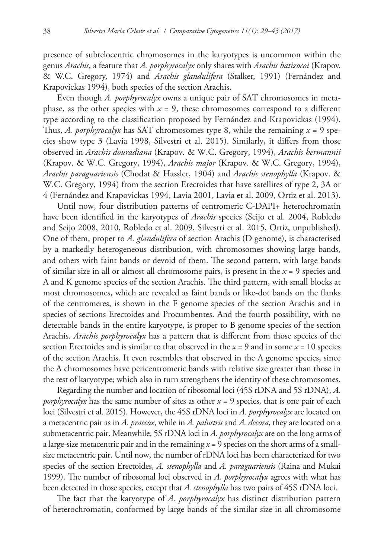presence of subtelocentric chromosomes in the karyotypes is uncommon within the genus *Arachis*, a feature that *A. porphyrocalyx* only shares with *Arachis batizocoi* (Krapov. & W.C. Gregory, 1974) and *Arachis glandulifera* (Stalker, 1991) (Fernández and Krapovickas 1994), both species of the section Arachis.

Even though *A. porphyrocalyx* owns a unique pair of SAT chromosomes in metaphase, as the other species with  $x = 9$ , these chromosomes correspond to a different type according to the classification proposed by Fernández and Krapovickas (1994). Thus, *A. porphyrocalyx* has SAT chromosomes type 8, while the remaining  $x = 9$  species show type 3 (Lavia 1998, Silvestri et al. 2015). Similarly, it differs from those observed in *Arachis douradiana* (Krapov. & W.C. Gregory, 1994), *Arachis hermannii*  (Krapov. & W.C. Gregory, 1994), *Arachis major* (Krapov. & W.C. Gregory, 1994), *Arachis paraguariensis* (Chodat & Hassler, 1904) and *Arachis stenophylla* (Krapov. & W.C. Gregory, 1994) from the section Erectoides that have satellites of type 2, 3A or 4 (Fernández and Krapovickas 1994, Lavia 2001, Lavia et al. 2009, Ortiz et al. 2013).

Until now, four distribution patterns of centromeric C-DAPI+ heterochromatin have been identified in the karyotypes of *Arachis* species (Seijo et al. 2004, Robledo and Seijo 2008, 2010, Robledo et al. 2009, Silvestri et al. 2015, Ortiz, unpublished). One of them, proper to *A. glandulifera* of section Arachis (D genome), is characterised by a markedly heterogeneous distribution, with chromosomes showing large bands, and others with faint bands or devoid of them. The second pattern, with large bands of similar size in all or almost all chromosome pairs, is present in the *x* = 9 species and A and K genome species of the section Arachis. The third pattern, with small blocks at most chromosomes, which are revealed as faint bands or like-dot bands on the flanks of the centromeres, is shown in the F genome species of the section Arachis and in species of sections Erectoides and Procumbentes. And the fourth possibility, with no detectable bands in the entire karyotype, is proper to B genome species of the section Arachis. *Arachis porphyrocalyx* has a pattern that is different from those species of the section Erectoides and is similar to that observed in the  $x = 9$  and in some  $x = 10$  species of the section Arachis. It even resembles that observed in the A genome species, since the A chromosomes have pericentromeric bands with relative size greater than those in the rest of karyotype; which also in turn strengthens the identity of these chromosomes.

Regarding the number and location of ribosomal loci (45S rDNA and 5S rDNA), *A. porphyrocalyx* has the same number of sites as other  $x = 9$  species, that is one pair of each loci (Silvestri et al. 2015). However, the 45S rDNA loci in *A. porphyrocalyx* are located on a metacentric pair as in *A. praecox*, while in *A. palustris* and *A. decora*, they are located on a submetacentric pair. Meanwhile, 5S rDNA loci in *A. porphyrocalyx* are on the long arms of a large-size metacentric pair and in the remaining *x* = 9 species on the short arms of a smallsize metacentric pair. Until now, the number of rDNA loci has been characterized for two species of the section Erectoides, *A. stenophylla* and *A. paraguariensis* (Raina and Mukai 1999). The number of ribosomal loci observed in *A. porphyrocalyx* agrees with what has been detected in those species, except that *A. stenophylla* has two pairs of 45S rDNA loci.

The fact that the karyotype of *A. porphyrocalyx* has distinct distribution pattern of heterochromatin, conformed by large bands of the similar size in all chromosome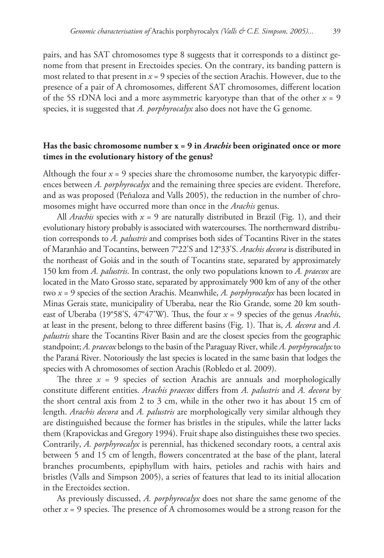pairs, and has SAT chromosomes type 8 suggests that it corresponds to a distinct genome from that present in Erectoides species. On the contrary, its banding pattern is most related to that present in  $x = 9$  species of the section Arachis. However, due to the presence of a pair of A chromosomes, different SAT chromosomes, different location of the 5S rDNA loci and a more asymmetric karyotype than that of the other *x* = 9 species, it is suggested that *A. porphyrocalyx* also does not have the G genome.

# **Has the basic chromosome number x = 9 in** *Arachis* **been originated once or more times in the evolutionary history of the genus?**

Although the four  $x = 9$  species share the chromosome number, the karyotypic differences between *A. porphyrocalyx* and the remaining three species are evident. Therefore, and as was proposed (Peñaloza and Valls 2005), the reduction in the number of chromosomes might have occurred more than once in the *Arachis* genus.

All *Arachis* species with  $x = 9$  are naturally distributed in Brazil (Fig. 1), and their evolutionary history probably is associated with watercourses. The northernward distribution corresponds to *A. palustris* and comprises both sides of Tocantins River in the states of Maranhão and Tocantins, between 7°22'S and 12°33'S. *Arachis decora* is distributed in the northeast of Goiás and in the south of Tocantins state, separated by approximately 150 km from *A. palustris*. In contrast, the only two populations known to *A. praecox* are located in the Mato Grosso state, separated by approximately 900 km of any of the other two *x* = 9 species of the section Arachis. Meanwhile, *A. porphyrocalyx* has been located in Minas Gerais state, municipality of Uberaba, near the Rio Grande, some 20 km southeast of Uberaba (19°58'S, 47°47'W). Thus, the four *x* = 9 species of the genus *Arachis*, at least in the present, belong to three different basins (Fig. 1). That is, *A. decora* and *A. palustris* share the Tocantins River Basin and are the closest species from the geographic standpoint; *A. praecox* belongs to the basin of the Paraguay River, while *A. porphyrocalyx* to the Paraná River. Notoriously the last species is located in the same basin that lodges the species with A chromosomes of section Arachis (Robledo et al. 2009).

The three  $x = 9$  species of section Arachis are annuals and morphologically constitute different entities. *Arachis praecox* differs from *A. palustris* and *A. decora* by the short central axis from 2 to 3 cm, while in the other two it has about 15 cm of length. *Arachis decora* and *A. palustris* are morphologically very similar although they are distinguished because the former has bristles in the stipules, while the latter lacks them (Krapovickas and Gregory 1994). Fruit shape also distinguishes these two species. Contrarily, *A. porphyrocalyx* is perennial, has thickened secondary roots, a central axis between 5 and 15 cm of length, flowers concentrated at the base of the plant, lateral branches procumbents, epiphyllum with hairs, petioles and rachis with hairs and bristles (Valls and Simpson 2005), a series of features that lead to its initial allocation in the Erectoides section.

As previously discussed, *A. porphyrocalyx* does not share the same genome of the other *x* = 9 species. The presence of A chromosomes would be a strong reason for the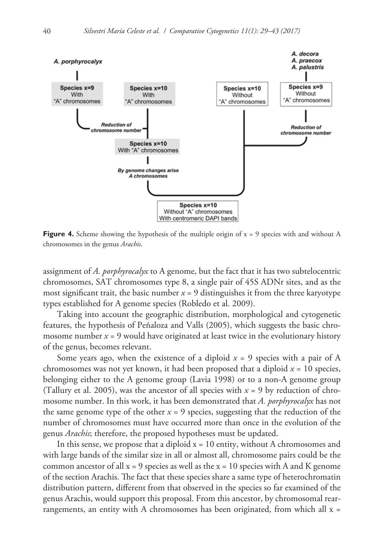

**Figure 4.** Scheme showing the hypothesis of the multiple origin of  $x = 9$  species with and without A chromosomes in the genus *Arachis*.

assignment of *A. porphyrocalyx* to A genome, but the fact that it has two subtelocentric chromosomes, SAT chromosomes type 8, a single pair of 45S ADNr sites, and as the most significant trait, the basic number  $x = 9$  distinguishes it from the three karyotype types established for A genome species (Robledo et al. 2009).

Taking into account the geographic distribution, morphological and cytogenetic features, the hypothesis of Peñaloza and Valls (2005), which suggests the basic chromosome number  $x = 9$  would have originated at least twice in the evolutionary history of the genus, becomes relevant.

Some years ago, when the existence of a diploid  $x = 9$  species with a pair of A chromosomes was not yet known, it had been proposed that a diploid  $x = 10$  species, belonging either to the A genome group (Lavia 1998) or to a non-A genome group (Tallury et al. 2005), was the ancestor of all species with  $x = 9$  by reduction of chromosome number. In this work, it has been demonstrated that *A. porphyrocalyx* has not the same genome type of the other  $x = 9$  species, suggesting that the reduction of the number of chromosomes must have occurred more than once in the evolution of the genus *Arachis*; therefore, the proposed hypotheses must be updated.

In this sense, we propose that a diploid  $x = 10$  entity, without A chromosomes and with large bands of the similar size in all or almost all, chromosome pairs could be the common ancestor of all  $x = 9$  species as well as the  $x = 10$  species with A and K genome of the section Arachis. The fact that these species share a same type of heterochromatin distribution pattern, different from that observed in the species so far examined of the genus Arachis, would support this proposal. From this ancestor, by chromosomal rearrangements, an entity with A chromosomes has been originated, from which all  $x =$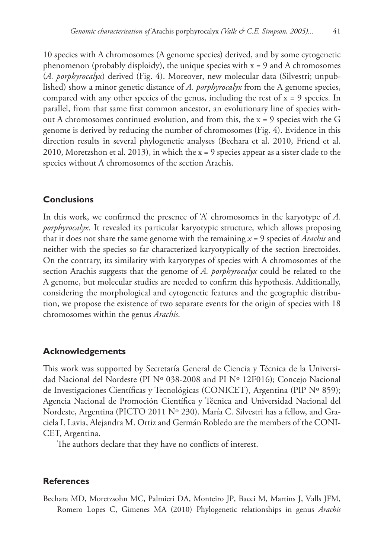10 species with A chromosomes (A genome species) derived, and by some cytogenetic phenomenon (probably disploidy), the unique species with  $x = 9$  and A chromosomes (*A. porphyrocalyx*) derived (Fig. 4). Moreover, new molecular data (Silvestri; unpublished) show a minor genetic distance of *A. porphyrocalyx* from the A genome species, compared with any other species of the genus, including the rest of  $x = 9$  species. In parallel, from that same first common ancestor, an evolutionary line of species without A chromosomes continued evolution, and from this, the x = 9 species with the G genome is derived by reducing the number of chromosomes (Fig. 4). Evidence in this direction results in several phylogenetic analyses (Bechara et al. 2010, Friend et al. 2010, Moretzshon et al. 2013), in which the x = 9 species appear as a sister clade to the species without A chromosomes of the section Arachis.

## **Conclusions**

In this work, we confirmed the presence of 'A' chromosomes in the karyotype of *A. porphyrocalyx*. It revealed its particular karyotypic structure, which allows proposing that it does not share the same genome with the remaining *x* = 9 species of *Arachis* and neither with the species so far characterized karyotypically of the section Erectoides. On the contrary, its similarity with karyotypes of species with A chromosomes of the section Arachis suggests that the genome of *A. porphyrocalyx* could be related to the A genome, but molecular studies are needed to confirm this hypothesis. Additionally, considering the morphological and cytogenetic features and the geographic distribution, we propose the existence of two separate events for the origin of species with 18 chromosomes within the genus *Arachis*.

#### **Acknowledgements**

This work was supported by Secretaría General de Ciencia y Técnica de la Universidad Nacional del Nordeste (PI Nº 038-2008 and PI Nº 12F016); Concejo Nacional de Investigaciones Científicas y Tecnológicas (CONICET), Argentina (PIP Nº 859); Agencia Nacional de Promoción Científica y Técnica and Universidad Nacional del Nordeste, Argentina (PICTO 2011 Nº 230). María C. Silvestri has a fellow, and Graciela I. Lavia, Alejandra M. Ortiz and Germán Robledo are the members of the CONI-CET, Argentina.

The authors declare that they have no conflicts of interest.

#### **References**

Bechara MD, Moretzsohn MC, Palmieri DA, Monteiro JP, Bacci M, Martins J, Valls JFM, Romero Lopes C, Gimenes MA (2010) Phylogenetic relationships in genus *Arachis*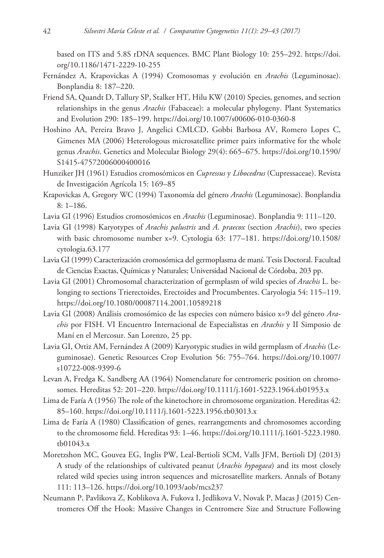based on ITS and 5.8S rDNA sequences. BMC Plant Biology 10: 255–292. [https://doi.](https://doi.org/10.1186/1471-2229-10-255) [org/10.1186/1471-2229-10-255](https://doi.org/10.1186/1471-2229-10-255)

- Fernández A, Krapovickas A (1994) Cromosomas y evolución en *Arachis* (Leguminosae). Bonplandia 8: 187–220.
- Friend SA, Quandt D, Tallury SP, Stalker HT, Hilu KW (2010) Species, genomes, and section relationships in the genus *Arachis* (Fabaceae): a molecular phylogeny. Plant Systematics and Evolution 290: 185–199.<https://doi.org/10.1007/s00606-010-0360-8>
- Hoshino AA, Pereira Bravo J, Angelici CMLCD, Gobbi Barbosa AV, Romero Lopes C, Gimenes MA (2006) Heterologous microsatellite primer pairs informative for the whole genus *Arachis*. Genetics and Molecular Biology 29(4): 665–675. [https://doi.org/10.1590/](https://doi.org/10.1590/S1415-47572006000400016) [S1415-47572006000400016](https://doi.org/10.1590/S1415-47572006000400016)
- Hunziker JH (1961) Estudios cromosómicos en *Cupressus* y *Libocedrus* (Cupressaceae). Revista de Investigación Agrícola 15: 169–85
- Krapovickas A, Gregory WC (1994) Taxonomía del género *Arachis* (Leguminosae). Bonplandia 8: 1–186.
- Lavia GI (1996) Estudios cromosómicos en *Arachis* (Leguminosae). Bonplandia 9: 111–120.
- Lavia GI (1998) Karyotypes of *Arachis palustris* and *A. praecox* (section *Arachis*), two species with basic chromosome number x=9. Cytologia 63: 177–181. [https://doi.org/10.1508/](https://doi.org/10.1508/cytologia.63.177) [cytologia.63.177](https://doi.org/10.1508/cytologia.63.177)
- Lavia GI (1999) Caracterización cromosómica del germoplasma de maní. Tesis Doctoral. Facultad de Ciencias Exactas, Químicas y Naturales; Universidad Nacional de Córdoba, 203 pp.
- Lavia GI (2001) Chromosomal characterization of germplasm of wild species of *Arachis* L. belonging to sections Trierectoides, Erectoides and Procumbentes. Caryologia 54: 115–119. <https://doi.org/10.1080/00087114.2001.10589218>
- Lavia GI (2008) Análisis cromosómico de las especies con número básico x=9 del género *Arachis* por FISH. VI Encuentro Internacional de Especialistas en *Arachis* y II Simposio de Maní en el Mercosur. San Lorenzo, 25 pp.
- Lavia GI, Ortiz AM, Fernández A (2009) Karyotypic studies in wild germplasm of *Arachis* (Leguminosae). Genetic Resources Crop Evolution 56: 755–764. [https://doi.org/10.1007/](https://doi.org/10.1007/s10722-008-9399-6) [s10722-008-9399-6](https://doi.org/10.1007/s10722-008-9399-6)
- Levan A, Fredga K, Sandberg AA (1964) Nomenclature for centromeric position on chromosomes. Hereditas 52: 201–220.<https://doi.org/10.1111/j.1601-5223.1964.tb01953.x>
- Lima de Faría A (1956) The role of the kinetochore in chromosome organization. Hereditas 42: 85–160.<https://doi.org/10.1111/j.1601-5223.1956.tb03013.x>
- Lima de Faría A (1980) Classification of genes, rearrangements and chromosomes according to the chromosome field. Hereditas 93: 1–46. [https://doi.org/10.1111/j.1601-5223.1980.](https://doi.org/10.1111/j.1601-5223.1980.tb01043.x) [tb01043.x](https://doi.org/10.1111/j.1601-5223.1980.tb01043.x)
- Moretzshon MC, Gouvea EG, Inglis PW, Leal-Bertioli SCM, Valls JFM, Bertioli DJ (2013) A study of the relationships of cultivated peanut (*Arachis hypogaea*) and its most closely related wild species using intron sequences and microsatellite markers. Annals of Botany 111: 113–126.<https://doi.org/10.1093/aob/mcs237>
- Neumann P, Pavlikova Z, Koblikova A, Fukova I, Jedlikova V, Novak P, Macas J (2015) Centromeres Off the Hook: Massive Changes in Centromere Size and Structure Following